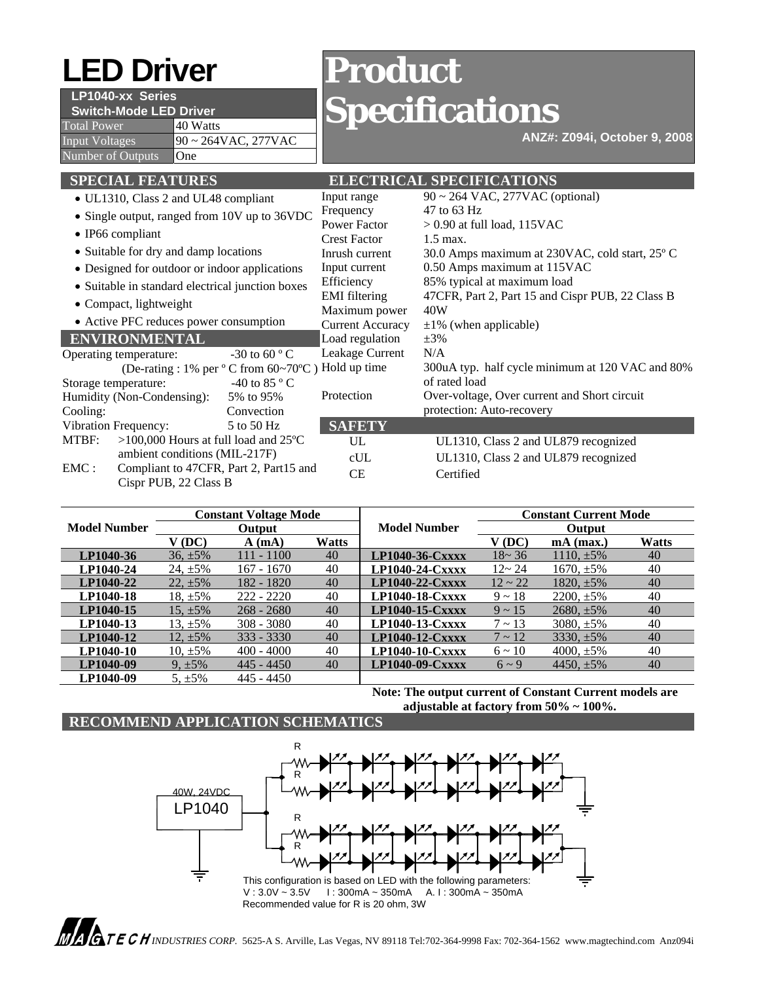# **LED Driver Product**

# **LP1040-xx Series**

**Switch-Mode LED Driver** 

Total Power 140 Watts Input Voltages  $90 \sim 264 \text{VAC}, 277 \text{VAC}$ Number of Outputs **One** 

# **Specifications**

**ANZ#: Z094i, October 9, 2008**

| <b>SPECIAL FEATURES</b>                                 | <b>ELECTRICAL SPECIFICATIONS</b> |                                                  |  |  |
|---------------------------------------------------------|----------------------------------|--------------------------------------------------|--|--|
| • UL1310, Class 2 and UL48 compliant                    | Input range                      | $90 \sim 264$ VAC, 277VAC (optional)             |  |  |
| • Single output, ranged from 10V up to 36VDC            | Frequency                        | 47 to 63 Hz                                      |  |  |
| $\bullet$ IP66 compliant                                | <b>Power Factor</b>              | $> 0.90$ at full load, 115VAC                    |  |  |
|                                                         | <b>Crest Factor</b>              | $1.5$ max.                                       |  |  |
| • Suitable for dry and damp locations                   | Inrush current                   | 30.0 Amps maximum at 230VAC, cold start, 25°C    |  |  |
| • Designed for outdoor or indoor applications           | Input current                    | 0.50 Amps maximum at 115VAC                      |  |  |
| • Suitable in standard electrical junction boxes        | Efficiency                       | 85% typical at maximum load                      |  |  |
| • Compact, lightweight                                  | <b>EMI</b> filtering             | 47CFR, Part 2, Part 15 and Cispr PUB, 22 Class B |  |  |
|                                                         | Maximum power                    | 40W                                              |  |  |
| • Active PFC reduces power consumption                  | <b>Current Accuracy</b>          | $\pm 1\%$ (when applicable)                      |  |  |
| <b>ENVIRONMENTAL</b>                                    | Load regulation                  | $\pm 3\%$                                        |  |  |
| $-30$ to 60 ° C<br>Operating temperature:               | Leakage Current                  | N/A                                              |  |  |
| (De-rating : 1% per $\degree$ C from 60~70 $\degree$ C) | Hold up time                     | 300uA typ. half cycle minimum at 120 VAC and 80% |  |  |
| -40 to 85 $\degree$ C<br>Storage temperature:           |                                  | of rated load                                    |  |  |
| Humidity (Non-Condensing):<br>5% to 95%                 | Protection                       | Over-voltage, Over current and Short circuit     |  |  |
| Cooling:<br>Convection                                  |                                  | protection: Auto-recovery                        |  |  |
| Vibration Frequency:<br>5 to 50 Hz                      | <b>SAFETY</b>                    |                                                  |  |  |
| MTBF:<br>>100,000 Hours at full load and $25^{\circ}$ C | UL                               | UL1310, Class 2 and UL879 recognized             |  |  |
| ambient conditions (MIL-217F)                           | cUL                              | UL1310, Class 2 and UL879 recognized             |  |  |
| EMC:<br>Compliant to 47CFR, Part 2, Part15 and          | <b>CE</b>                        | Certified                                        |  |  |
| Cispr PUB, 22 Class B                                   |                                  |                                                  |  |  |

|                     | <b>Constant Voltage Mode</b> |              | <b>Model Number</b> | <b>Constant Current Mode</b> |              |                 |              |
|---------------------|------------------------------|--------------|---------------------|------------------------------|--------------|-----------------|--------------|
| <b>Model Number</b> | Output                       |              |                     | Output                       |              |                 |              |
|                     | $V$ (DC)                     | $A$ (mA)     | Watts               |                              | V (DC)       | $mA$ (max.)     | <b>Watts</b> |
| LP1040-36           | $36, \pm 5\%$                | 111 - 1100   | 40                  | $LP1040-36-Cxxxx$            | $18 - 36$    | 1110. $\pm$ 5%  | 40           |
| LP1040-24           | $24, \pm 5\%$                | $167 - 1670$ | 40                  | LP1040-24-Cxxxx              | $12 - 24$    | $1670, \pm 5\%$ | 40           |
| LP1040-22           | $22, \pm 5\%$                | 182 - 1820   | 40                  | LP1040-22-Cxxxx              | $12 \sim 22$ | $1820, \pm 5\%$ | 40           |
| LP1040-18           | 18, $\pm 5\%$                | $222 - 2220$ | 40                  | LP1040-18-Cxxxx              | $9 \sim 18$  | $2200, \pm 5\%$ | 40           |
| LP1040-15           | 15, $\pm$ 5%                 | $268 - 2680$ | 40                  | $LP1040-15-Cxxxx$            | $9 \sim 15$  | $2680, \pm 5\%$ | 40           |
| LP1040-13           | 13, $\pm$ 5%                 | $308 - 3080$ | 40                  | LP1040-13-Cxxxx              | $7 \sim 13$  | $3080, \pm 5\%$ | 40           |
| LP1040-12           | 12, $\pm$ 5%                 | $333 - 3330$ | 40                  | $LP1040-12-Cxxxx$            | $7 \sim 12$  | $3330. \pm 5\%$ | 40           |
| LP1040-10           | 10, $\pm$ 5%                 | $400 - 4000$ | 40                  | $LP1040-10-Cxxxx$            | $6 \sim 10$  | 4000. $\pm$ 5%  | 40           |
| LP1040-09           | $9, \pm 5\%$                 | $445 - 4450$ | 40                  | LP1040-09-Cxxxx              | $6 \sim 9$   | 4450, $\pm$ 5%  | 40           |
| LP1040-09           | $5. \pm 5\%$                 | 445 - 4450   |                     |                              |              |                 |              |

**Note: The output current of Constant Current models are adjustable at factory from 50% ~ 100%.**

## **RECOMMEND APPLICATION SCHEMATICS**



 *INDUSTRIES CORP.* 5625-A S. Arville, Las Vegas, NV 89118 Tel:702-364-9998 Fax: 702-364-1562 www.magtechind.com Anz094i